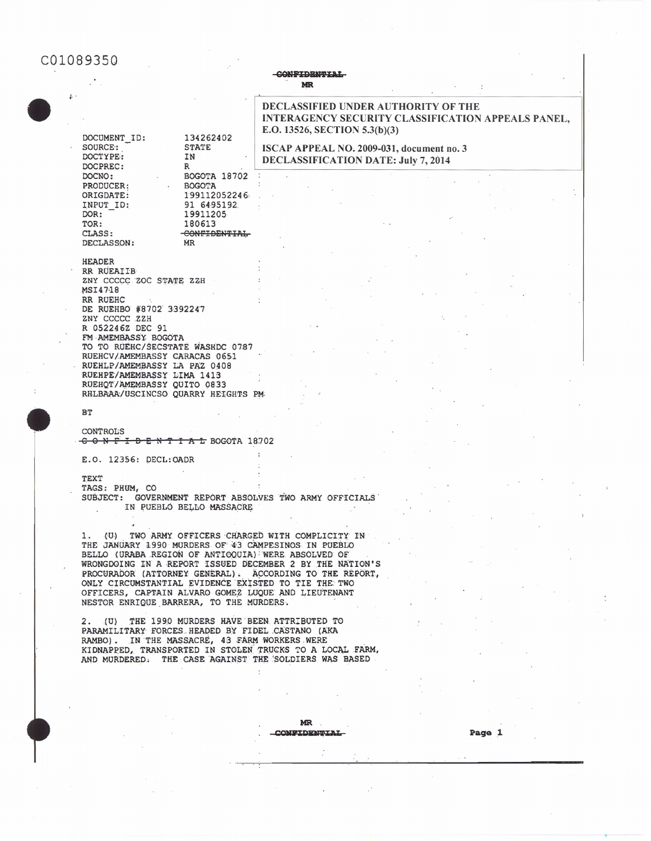# C01089350

### **CONFIDENTIAL MR**

## **DECLASSIFIED UNDER AUTHORITY OF THE INTERAGENCY SECURITY CLASSIFICATION APPEALS PANEL.** E.O. 13526, SECTION 5.3(b)(3)

ISCAP APPEAL NO. 2009-031, document no. 3 **DECLASSIFICATION DATE: July 7, 2014** 

DOCUMENT ID: 134262402 SOURCE: **STATE DOCTYPE:** IN DOCPREC:  $\, {\bf R} \,$ BOGOTA 18702 DOCNO: PRODUCER: **BOGOTA** ORIGDATE: 199112052246 INPUT ID: 91 6495192 DOR: 19911205 180613 TOR: CLASS: CONFIDENTIAL DECLASSON: **MR** 

**HEADER** RR RUEAIIB ZNY CCCCC ZOC STATE ZZH MSI4718 RR RUEHC DE RUEHBO #8702 3392247 ZNY CCCCC ZZH R 052246Z DEC 91 FM AMEMBASSY BOGOTA TO TO RUEHC/SECSTATE WASHDC 0787 RUEHCV/AMEMBASSY CARACAS 0651 RUEHLP/AMEMBASSY LA PAZ 0408 RUEHPE/AMEMBASSY LIMA 1413 RUEHOT/AMEMBASSY QUITO 0833 RHLBAAA/USCINCSO QUARRY HEIGHTS PM

### $B$

**CONTROLS** CONFIDENTIAL BOGOTA 18702

E.O. 12356: DECL:OADR

TEXT TAGS: PHUM, CO SUBJECT: GOVERNMENT REPORT ABSOLVES TWO ARMY OFFICIALS IN PUEBLO BELLO MASSACRE

(U) TWO ARMY OFFICERS CHARGED WITH COMPLICITY IN  $1.$ THE JANUARY 1990 MURDERS OF 43 CAMPESINOS IN PUEBLO BELLO (URABA REGION OF ANTIOQUIA) WERE ABSOLVED OF WRONGDOING IN A REPORT ISSUED DECEMBER 2 BY THE NATION'S PROCURADOR (ATTORNEY GENERAL). ACCORDING TO THE REPORT, ONLY CIRCUMSTANTIAL EVIDENCE EXISTED TO TIE THE TWO OFFICERS, CAPTAIN ALVARO GOMEZ LUQUE AND LIEUTENANT NESTOR ENRIQUE BARRERA, TO THE MURDERS.

2. (U) THE 1990 MURDERS HAVE BEEN ATTRIBUTED TO PARAMILITARY FORCES HEADED BY FIDEL CASTANO (AKA RAMBO). IN THE MASSACRE, 43 FARM WORKERS WERE<br>KIDNAPPED, TRANSPORTED IN STOLEN TRUCKS TO A LOCAL FARM, AND MURDERED. THE CASE AGAINST THE SOLDIERS WAS BASED

### **MR CONFIDENTIAL**